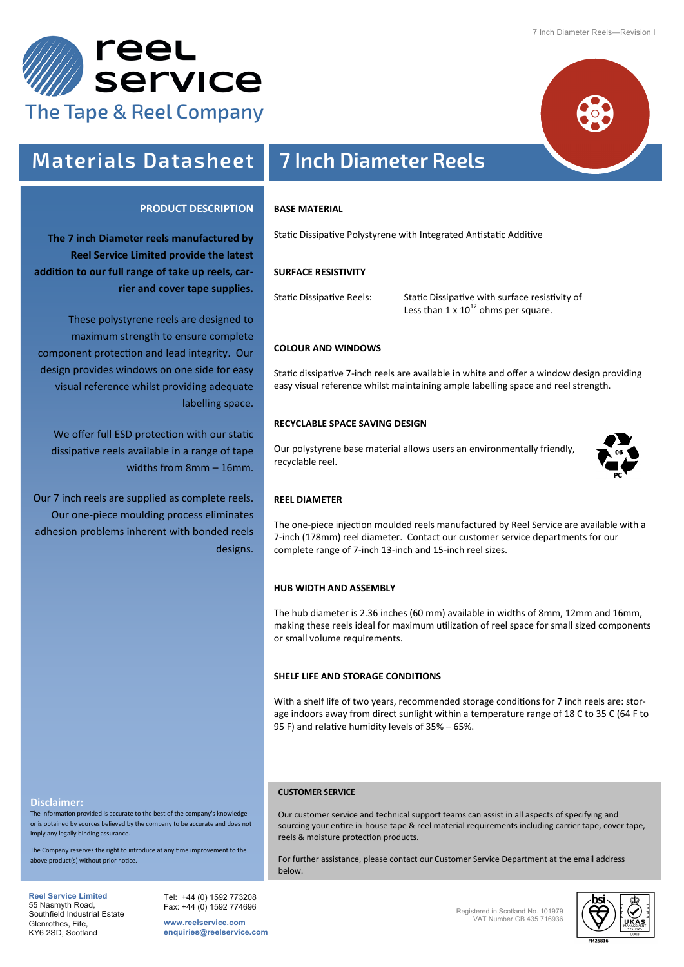



#### **PRODUCT DESCRIPTION**

**The 7 inch Diameter reels manufactured by Reel Service Limited provide the latest addition to our full range of take up reels, carrier and cover tape supplies.**

These polystyrene reels are designed to maximum strength to ensure complete component protection and lead integrity. Our design provides windows on one side for easy visual reference whilst providing adequate labelling space.

We offer full ESD protection with our static dissipative reels available in a range of tape widths from 8mm – 16mm.

Our 7 inch reels are supplied as complete reels. Our one-piece moulding process eliminates adhesion problems inherent with bonded reels designs.

# **Materials Datasheet 7 Inch Diameter Reels**

#### **BASE MATERIAL**

Static Dissipative Polystyrene with Integrated Antistatic Additive

#### **SURFACE RESISTIVITY**

Static Dissipative Reels: Static Dissipative with surface resistivity of Less than  $1 \times 10^{12}$  ohms per square.

#### **COLOUR AND WINDOWS**

Static dissipative 7-inch reels are available in white and offer a window design providing easy visual reference whilst maintaining ample labelling space and reel strength.

### **RECYCLABLE SPACE SAVING DESIGN**

Our polystyrene base material allows users an environmentally friendly, recyclable reel.



#### **REEL DIAMETER**

The one-piece injection moulded reels manufactured by Reel Service are available with a 7-inch (178mm) reel diameter. Contact our customer service departments for our complete range of 7-inch 13-inch and 15-inch reel sizes.

### **HUB WIDTH AND ASSEMBLY**

The hub diameter is 2.36 inches (60 mm) available in widths of 8mm, 12mm and 16mm, making these reels ideal for maximum utilization of reel space for small sized components or small volume requirements.

#### **SHELF LIFE AND STORAGE CONDITIONS**

With a shelf life of two years, recommended storage conditions for 7 inch reels are: storage indoors away from direct sunlight within a temperature range of 18 C to 35 C (64 F to 95 F) and relative humidity levels of 35% – 65%.

#### **Disclaimer:**

The information provided is accurate to the best of the company's knowledge or is obtained by sources believed by the company to be accurate and does not imply any legally binding assurance.

the Company reserves the right to introduce at any time improvement to the above product(s) without prior notice.

reels & moisture protection products.

**CUSTOMER SERVICE**

**Reel Service Limited**  55 Nasmyth Road, Southfield Industrial Estate Glenrothes, Fife, KY6 2SD, Scotland

Tel: +44 (0) 1592 773208 Fax: +44 (0) 1592 774696

**www.reelservice.com enquiries@reelservice.com** Registered in Scotland No. 101979 VAT Number GB 435 716936



Our customer service and technical support teams can assist in all aspects of specifying and sourcing your entire in-house tape & reel material requirements including carrier tape, cover tape,

For further assistance, please contact our Customer Service Department at the email address below.